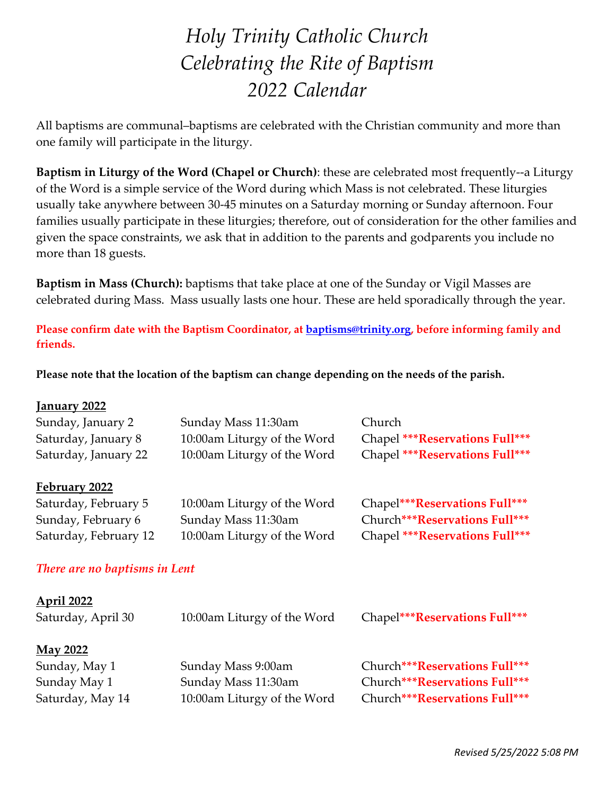# *Holy Trinity Catholic Church Celebrating the Rite of Baptism 2022 Calendar*

All baptisms are communal–baptisms are celebrated with the Christian community and more than one family will participate in the liturgy.

**Baptism in Liturgy of the Word (Chapel or Church)**: these are celebrated most frequently--a Liturgy of the Word is a simple service of the Word during which Mass is not celebrated. These liturgies usually take anywhere between 30-45 minutes on a Saturday morning or Sunday afternoon. Four families usually participate in these liturgies; therefore, out of consideration for the other families and given the space constraints, we ask that in addition to the parents and godparents you include no more than 18 guests.

**Baptism in Mass (Church):** baptisms that take place at one of the Sunday or Vigil Masses are celebrated during Mass. Mass usually lasts one hour. These are held sporadically through the year.

**Please confirm date with the Baptism Coordinator, at [baptisms@trinity.org,](mailto:baptisms@trinity.org) before informing family and friends.**

**Please note that the location of the baptism can change depending on the needs of the parish.**

| January 2022                  |                             |                                 |
|-------------------------------|-----------------------------|---------------------------------|
| Sunday, January 2             | Sunday Mass 11:30am         | Church                          |
| Saturday, January 8           | 10:00am Liturgy of the Word | Chapel ***Reservations Full***  |
| Saturday, January 22          | 10:00am Liturgy of the Word | Chapel *** Reservations Full*** |
| February 2022                 |                             |                                 |
| Saturday, February 5          | 10:00am Liturgy of the Word | Chapel***Reservations Full***   |
| Sunday, February 6            | Sunday Mass 11:30am         | Church***Reservations Full***   |
| Saturday, February 12         | 10:00am Liturgy of the Word | Chapel *** Reservations Full*** |
| There are no baptisms in Lent |                             |                                 |
| <u>April 2022</u>             |                             |                                 |
| Saturday, April 30            | 10:00am Liturgy of the Word | Chapel***Reservations Full***   |
| <b>May 2022</b>               |                             |                                 |
| Sunday, May 1                 | Sunday Mass 9:00am          | Church***Reservations Full***   |
| Sunday May 1                  | Sunday Mass 11:30am         | Church***Reservations Full***   |
| Saturday, May 14              | 10:00am Liturgy of the Word | Church***Reservations Full***   |